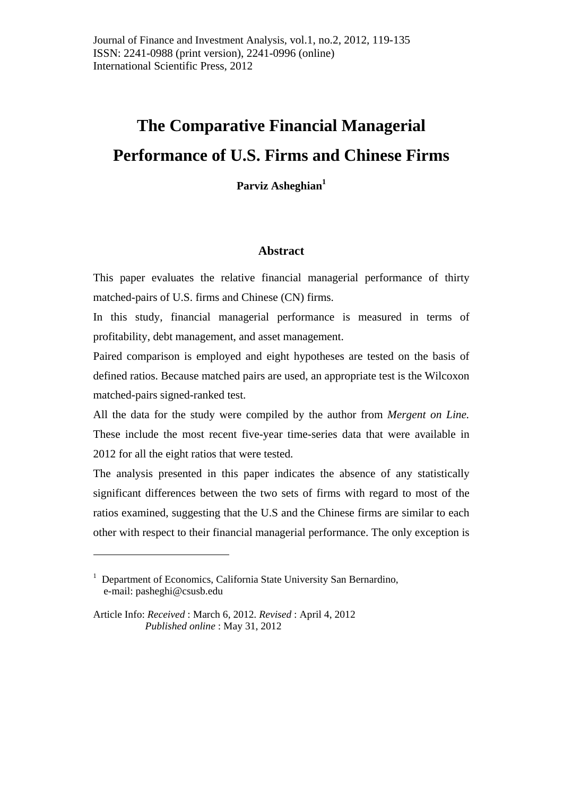# **The Comparative Financial Managerial Performance of U.S. Firms and Chinese Firms**

Parviz Asheghian<sup>1</sup>

#### **Abstract**

This paper evaluates the relative financial managerial performance of thirty matched-pairs of U.S. firms and Chinese (CN) firms.

In this study, financial managerial performance is measured in terms of profitability, debt management, and asset management.

Paired comparison is employed and eight hypotheses are tested on the basis of defined ratios. Because matched pairs are used, an appropriate test is the Wilcoxon matched-pairs signed-ranked test.

All the data for the study were compiled by the author from *Mergent on Line.*  These include the most recent five-year time-series data that were available in 2012 for all the eight ratios that were tested.

The analysis presented in this paper indicates the absence of any statistically significant differences between the two sets of firms with regard to most of the ratios examined, suggesting that the U.S and the Chinese firms are similar to each other with respect to their financial managerial performance. The only exception is

<u>.</u>

<sup>&</sup>lt;sup>1</sup> Department of Economics, California State University San Bernardino, e-mail: pasheghi@csusb.edu

Article Info: *Received* : March 6, 2012*. Revised* : April 4, 2012 *Published online* : May 31, 2012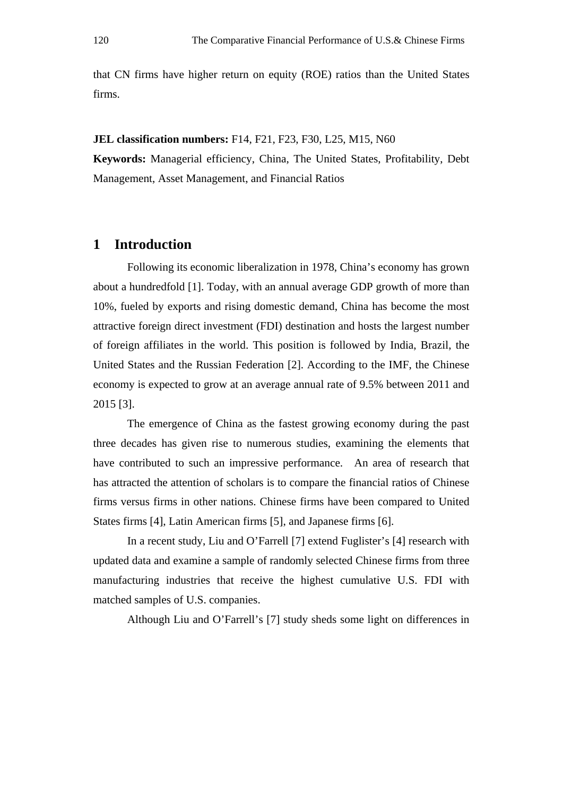that CN firms have higher return on equity (ROE) ratios than the United States firms.

**JEL classification numbers:** F14, F21, F23, F30, L25, M15, N60 **Keywords:** Managerial efficiency, China, The United States, Profitability, Debt Management, Asset Management, and Financial Ratios

# **1 Introduction**

 Following its economic liberalization in 1978, China's economy has grown about a hundredfold [1]. Today, with an annual average GDP growth of more than 10%, fueled by exports and rising domestic demand, China has become the most attractive foreign direct investment (FDI) destination and hosts the largest number of foreign affiliates in the world. This position is followed by India, Brazil, the United States and the Russian Federation [2]. According to the IMF, the Chinese economy is expected to grow at an average annual rate of 9.5% between 2011 and 2015 [3].

 The emergence of China as the fastest growing economy during the past three decades has given rise to numerous studies, examining the elements that have contributed to such an impressive performance. An area of research that has attracted the attention of scholars is to compare the financial ratios of Chinese firms versus firms in other nations. Chinese firms have been compared to United States firms [4], Latin American firms [5], and Japanese firms [6].

 In a recent study, Liu and O'Farrell [7] extend Fuglister's [4] research with updated data and examine a sample of randomly selected Chinese firms from three manufacturing industries that receive the highest cumulative U.S. FDI with matched samples of U.S. companies.

Although Liu and O'Farrell's [7] study sheds some light on differences in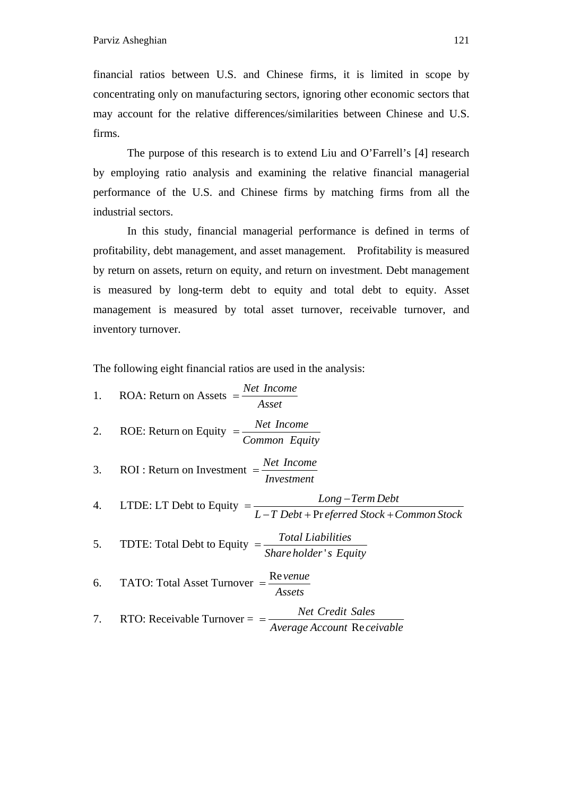financial ratios between U.S. and Chinese firms, it is limited in scope by concentrating only on manufacturing sectors, ignoring other economic sectors that may account for the relative differences/similarities between Chinese and U.S. firms.

 The purpose of this research is to extend Liu and O'Farrell's [4] research by employing ratio analysis and examining the relative financial managerial performance of the U.S. and Chinese firms by matching firms from all the industrial sectors.

 In this study, financial managerial performance is defined in terms of profitability, debt management, and asset management. Profitability is measured by return on assets, return on equity, and return on investment. Debt management is measured by long-term debt to equity and total debt to equity. Asset management is measured by total asset turnover, receivable turnover, and inventory turnover.

The following eight financial ratios are used in the analysis:

| 1. ROA: Return on Assets $=$ $\frac{Net\ Income}{A\ sset}$                                        |
|---------------------------------------------------------------------------------------------------|
| 2. ROE: Return on Equity $=\frac{Net\ Income}{Common\ Equity}$                                    |
| 3. <b>ROI</b> : Return on Investment $=$ $\frac{Net\ Income}{Investment}$                         |
| 4. LTDE: LT Debt to Equity $=$ $\frac{Long-Term Debt}{L-T Debt+Pr\,ferred\, Stock+Common\,Stock}$ |
| 5. TDTE: Total Debt to Equity $=$ $\frac{Total\,Liabilities}{Share\,holder\,'s\, Equity}$         |
| 6. TATO: Total Asset Turnover $=$ $\frac{\text{Re}$ venue<br>Assets                               |
| 7. RTO: Receivable Turnover = $\frac{Net Credit Sales}{(1 + 1)^2}$<br>Average Account Receivable  |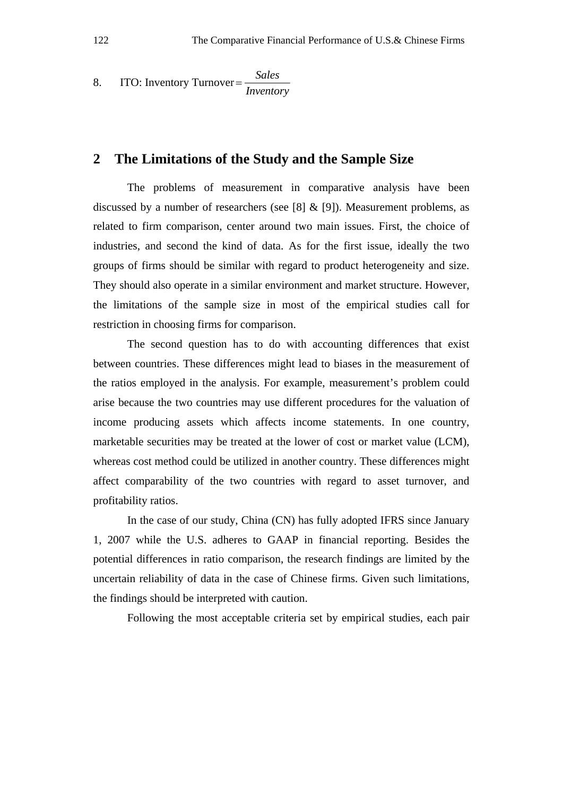8. ITO: Inventory Turnover=
$$
\frac{Sales}{Inventory}
$$

#### **2 The Limitations of the Study and the Sample Size**

 The problems of measurement in comparative analysis have been discussed by a number of researchers (see [8]  $&$  [9]). Measurement problems, as related to firm comparison, center around two main issues. First, the choice of industries, and second the kind of data. As for the first issue, ideally the two groups of firms should be similar with regard to product heterogeneity and size. They should also operate in a similar environment and market structure. However, the limitations of the sample size in most of the empirical studies call for restriction in choosing firms for comparison.

 The second question has to do with accounting differences that exist between countries. These differences might lead to biases in the measurement of the ratios employed in the analysis. For example, measurement's problem could arise because the two countries may use different procedures for the valuation of income producing assets which affects income statements. In one country, marketable securities may be treated at the lower of cost or market value (LCM), whereas cost method could be utilized in another country. These differences might affect comparability of the two countries with regard to asset turnover, and profitability ratios.

 In the case of our study, China (CN) has fully adopted IFRS since January 1, 2007 while the U.S. adheres to GAAP in financial reporting. Besides the potential differences in ratio comparison, the research findings are limited by the uncertain reliability of data in the case of Chinese firms. Given such limitations, the findings should be interpreted with caution.

Following the most acceptable criteria set by empirical studies, each pair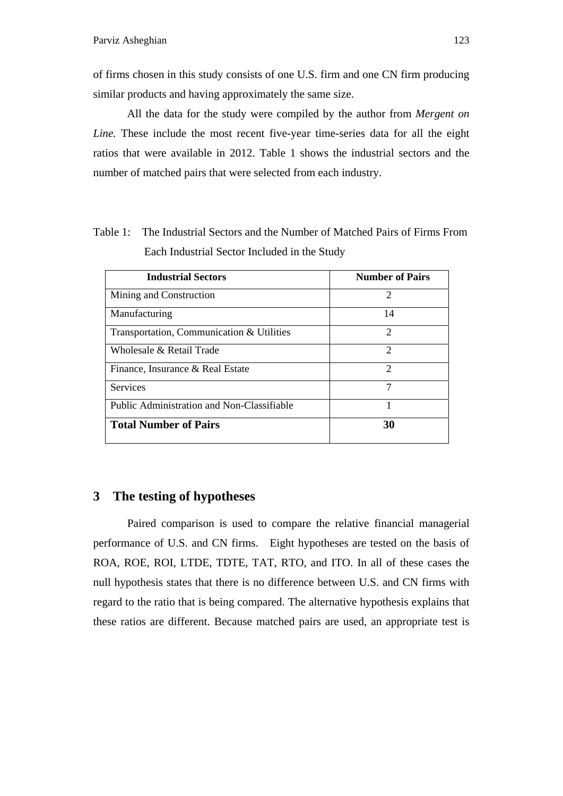of firms chosen in this study consists of one U.S. firm and one CN firm producing similar products and having approximately the same size.

 All the data for the study were compiled by the author from *Mergent on Line.* These include the most recent five-year time-series data for all the eight ratios that were available in 2012. Table 1 shows the industrial sectors and the number of matched pairs that were selected from each industry.

| <b>Industrial Sectors</b>                  | <b>Number of Pairs</b> |
|--------------------------------------------|------------------------|
| Mining and Construction                    | 2                      |
| Manufacturing                              | 14                     |
| Transportation, Communication & Utilities  | $\mathcal{D}$          |
| Wholesale & Retail Trade                   | $\mathcal{D}$          |
| Finance, Insurance & Real Estate           | $\mathcal{D}$          |
| Services                                   | 7                      |
| Public Administration and Non-Classifiable |                        |
| <b>Total Number of Pairs</b>               | 30                     |

Table 1: The Industrial Sectors and the Number of Matched Pairs of Firms From Each Industrial Sector Included in the Study

### **3 The testing of hypotheses**

 Paired comparison is used to compare the relative financial managerial performance of U.S. and CN firms. Eight hypotheses are tested on the basis of ROA, ROE, ROI, LTDE, TDTE, TAT, RTO, and ITO. In all of these cases the null hypothesis states that there is no difference between U.S. and CN firms with regard to the ratio that is being compared. The alternative hypothesis explains that these ratios are different. Because matched pairs are used, an appropriate test is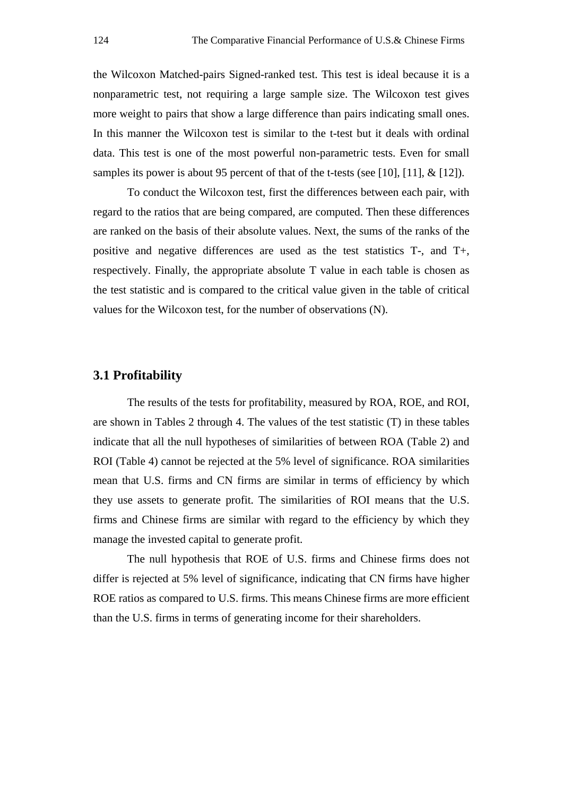the Wilcoxon Matched-pairs Signed-ranked test. This test is ideal because it is a nonparametric test, not requiring a large sample size. The Wilcoxon test gives more weight to pairs that show a large difference than pairs indicating small ones. In this manner the Wilcoxon test is similar to the t-test but it deals with ordinal data. This test is one of the most powerful non-parametric tests. Even for small samples its power is about 95 percent of that of the t-tests (see [10], [11],  $\&$  [12]).

 To conduct the Wilcoxon test, first the differences between each pair, with regard to the ratios that are being compared, are computed. Then these differences are ranked on the basis of their absolute values. Next, the sums of the ranks of the positive and negative differences are used as the test statistics T-, and T+, respectively. Finally, the appropriate absolute T value in each table is chosen as the test statistic and is compared to the critical value given in the table of critical values for the Wilcoxon test, for the number of observations (N).

#### **3.1 Profitability**

 The results of the tests for profitability, measured by ROA, ROE, and ROI, are shown in Tables 2 through 4. The values of the test statistic (T) in these tables indicate that all the null hypotheses of similarities of between ROA (Table 2) and ROI (Table 4) cannot be rejected at the 5% level of significance. ROA similarities mean that U.S. firms and CN firms are similar in terms of efficiency by which they use assets to generate profit. The similarities of ROI means that the U.S. firms and Chinese firms are similar with regard to the efficiency by which they manage the invested capital to generate profit.

 The null hypothesis that ROE of U.S. firms and Chinese firms does not differ is rejected at 5% level of significance, indicating that CN firms have higher ROE ratios as compared to U.S. firms. This means Chinese firms are more efficient than the U.S. firms in terms of generating income for their shareholders.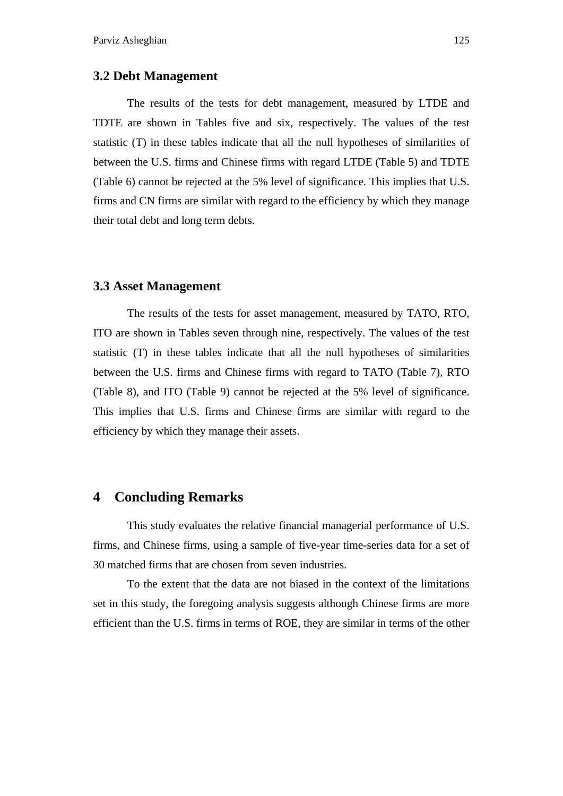#### **3.2 Debt Management**

 The results of the tests for debt management, measured by LTDE and TDTE are shown in Tables five and six, respectively. The values of the test statistic (T) in these tables indicate that all the null hypotheses of similarities of between the U.S. firms and Chinese firms with regard LTDE (Table 5) and TDTE (Table 6) cannot be rejected at the 5% level of significance. This implies that U.S. firms and CN firms are similar with regard to the efficiency by which they manage their total debt and long term debts.

#### **3.3 Asset Management**

 The results of the tests for asset management, measured by TATO, RTO, ITO are shown in Tables seven through nine, respectively. The values of the test statistic (T) in these tables indicate that all the null hypotheses of similarities between the U.S. firms and Chinese firms with regard to TATO (Table 7), RTO (Table 8), and ITO (Table 9) cannot be rejected at the 5% level of significance. This implies that U.S. firms and Chinese firms are similar with regard to the efficiency by which they manage their assets.

# **4 Concluding Remarks**

 This study evaluates the relative financial managerial performance of U.S. firms, and Chinese firms, using a sample of five-year time-series data for a set of 30 matched firms that are chosen from seven industries.

 To the extent that the data are not biased in the context of the limitations set in this study, the foregoing analysis suggests although Chinese firms are more efficient than the U.S. firms in terms of ROE, they are similar in terms of the other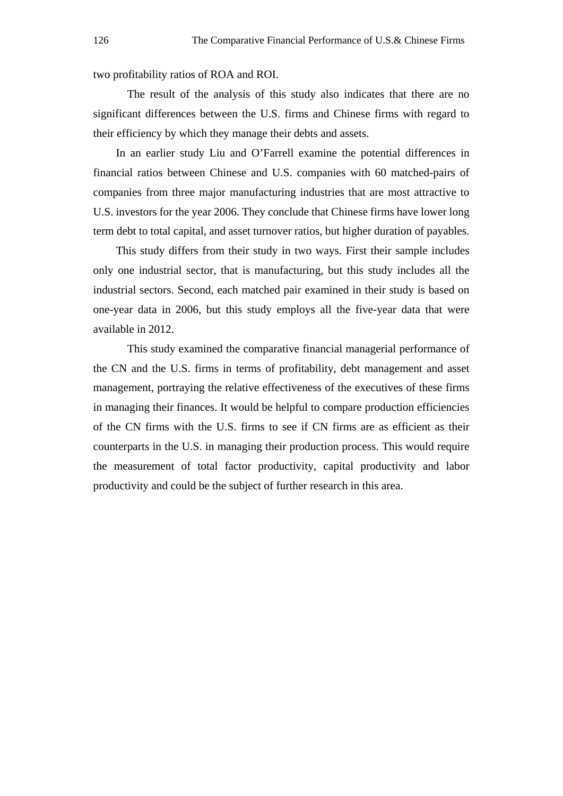two profitability ratios of ROA and ROI.

 The result of the analysis of this study also indicates that there are no significant differences between the U.S. firms and Chinese firms with regard to their efficiency by which they manage their debts and assets.

In an earlier study Liu and O'Farrell examine the potential differences in financial ratios between Chinese and U.S. companies with 60 matched-pairs of companies from three major manufacturing industries that are most attractive to U.S. investors for the year 2006. They conclude that Chinese firms have lower long term debt to total capital, and asset turnover ratios, but higher duration of payables.

This study differs from their study in two ways. First their sample includes only one industrial sector, that is manufacturing, but this study includes all the industrial sectors. Second, each matched pair examined in their study is based on one-year data in 2006, but this study employs all the five-year data that were available in 2012.

 This study examined the comparative financial managerial performance of the CN and the U.S. firms in terms of profitability, debt management and asset management, portraying the relative effectiveness of the executives of these firms in managing their finances. It would be helpful to compare production efficiencies of the CN firms with the U.S. firms to see if CN firms are as efficient as their counterparts in the U.S. in managing their production process. This would require the measurement of total factor productivity, capital productivity and labor productivity and could be the subject of further research in this area.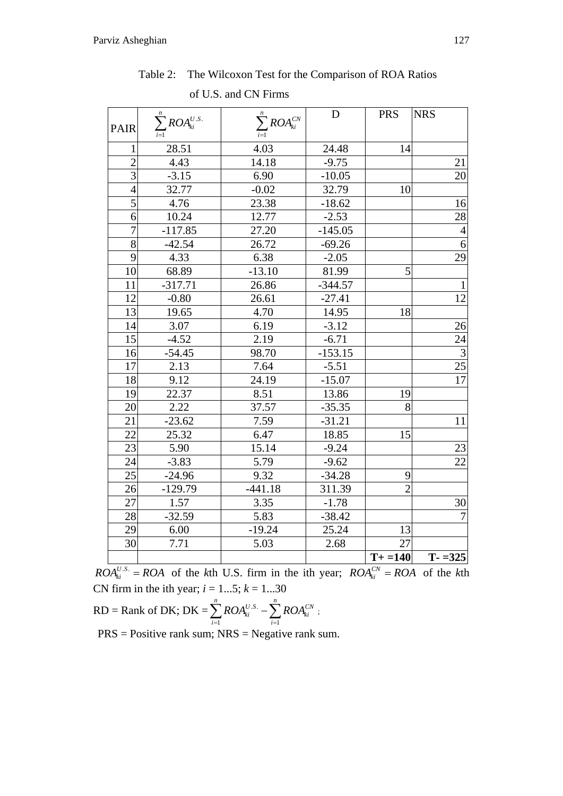| <b>PAIR</b>    | $\sum_{i=1}^n ROA_{ki}^{U.S.}$ | $\sum_{i=1}^n ROA_{ki}^{CN}$ | D         | <b>PRS</b>     | <b>NRS</b>      |
|----------------|--------------------------------|------------------------------|-----------|----------------|-----------------|
|                |                                |                              |           |                |                 |
| 1              | 28.51                          | 4.03                         | 24.48     | 14             |                 |
| $\overline{2}$ | 4.43                           | 14.18                        | $-9.75$   |                | 21              |
| $\overline{3}$ | $-3.15$                        | 6.90                         | $-10.05$  |                | 20              |
| $\overline{4}$ | 32.77                          | $-0.02$                      | 32.79     | 10             |                 |
| 5              | 4.76                           | 23.38                        | $-18.62$  |                | 16              |
| 6              | 10.24                          | 12.77                        | $-2.53$   |                | 28              |
| $\overline{7}$ | $-117.85$                      | 27.20                        | $-145.05$ |                | $\overline{4}$  |
| 8              | $-42.54$                       | 26.72                        | $-69.26$  |                | $\overline{6}$  |
| $\overline{9}$ | 4.33                           | 6.38                         | $-2.05$   |                | $\overline{29}$ |
| 10             | 68.89                          | $-13.10$                     | 81.99     | 5              |                 |
| 11             | $-317.71$                      | 26.86                        | $-344.57$ |                | $\mathbf{1}$    |
| 12             | $-0.80$                        | 26.61                        | $-27.41$  |                | $\overline{12}$ |
| 13             | 19.65                          | 4.70                         | 14.95     | 18             |                 |
| 14             | 3.07                           | 6.19                         | $-3.12$   |                | 26              |
| 15             | $-4.52$                        | 2.19                         | $-6.71$   |                | $\overline{2}4$ |
| 16             | $-54.45$                       | 98.70                        | $-153.15$ |                | $\overline{3}$  |
| 17             | 2.13                           | 7.64                         | $-5.51$   |                | $\overline{25}$ |
| 18             | 9.12                           | 24.19                        | $-15.07$  |                | 17              |
| 19             | 22.37                          | 8.51                         | 13.86     | 19             |                 |
| 20             | 2.22                           | 37.57                        | $-35.35$  | 8              |                 |
| 21             | $-23.62$                       | 7.59                         | $-31.21$  |                | 11              |
| 22             | 25.32                          | 6.47                         | 18.85     | 15             |                 |
| 23             | 5.90                           | 15.14                        | $-9.24$   |                | 23              |
| 24             | $-3.83$                        | 5.79                         | $-9.62$   |                | 22              |
| 25             | $-24.96$                       | 9.32                         | $-34.28$  | 9              |                 |
| 26             | $-129.79$                      | $-441.18$                    | 311.39    | $\overline{2}$ |                 |
| 27             | 1.57                           | 3.35                         | $-1.78$   |                | 30              |
| 28             | $-32.59$                       | 5.83                         | $-38.42$  |                | $\overline{7}$  |
| 29             | 6.00                           | $-19.24$                     | 25.24     | 13             |                 |
| 30             | 7.71                           | 5.03                         | 2.68      | 27             |                 |
|                |                                |                              |           | $T + = 140$    | $T - 325$       |

Table 2: The Wilcoxon Test for the Comparison of ROA Ratios of U.S. and CN Firms

 $ROA_{ki}^{U.S.} = ROA$  of the kth U.S. firm in the ith year;  $ROA_{ki}^{CV} = ROA$  of the kth CN firm in the ith year;  $i = 1...5$ ;  $k = 1...30$ 

RD = Rank of DK; DK = 
$$
\sum_{i=1}^{n} ROA_{ki}^{U.S.} - \sum_{i=1}^{n} ROA_{ki}^{CN}
$$
;

 $PRS = Positive rank sum; NRS = Negative rank sum.$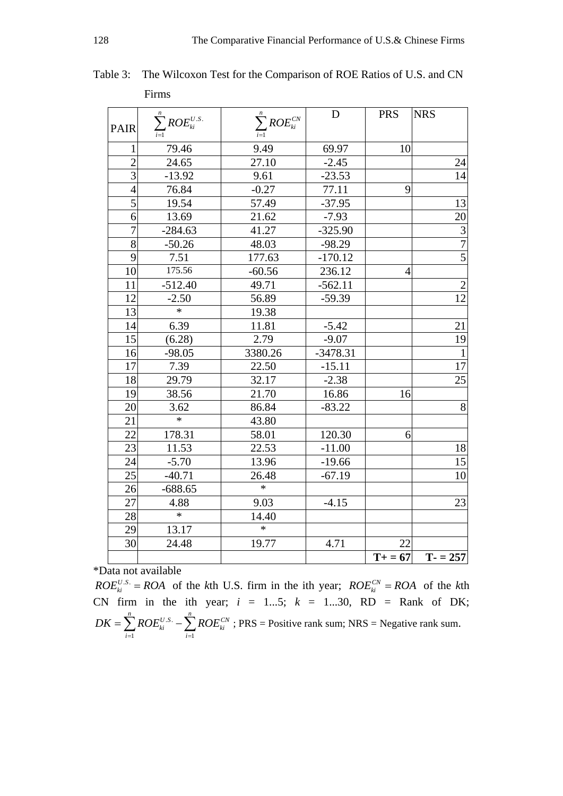|                |                                |                              | D          | <b>PRS</b>     | <b>NRS</b>      |
|----------------|--------------------------------|------------------------------|------------|----------------|-----------------|
| <b>PAIR</b>    | $\sum_{i=1}^n ROE_{ki}^{U.S.}$ | $\sum_{i=1}^n ROE_{ki}^{CN}$ |            |                |                 |
| 1              | 79.46                          | 9.49                         | 69.97      | 10             |                 |
| $\overline{2}$ | 24.65                          | 27.10                        | $-2.45$    |                | 24              |
| $\overline{3}$ | $-13.92$                       | 9.61                         | $-23.53$   |                | $\overline{14}$ |
| $\overline{4}$ | 76.84                          | $-0.27$                      | 77.11      | 9              |                 |
| $\overline{5}$ | 19.54                          | 57.49                        | $-37.95$   |                | 13              |
| 6              | 13.69                          | 21.62                        | $-7.93$    |                | 20              |
| $\overline{7}$ | $-284.63$                      | 41.27                        | $-325.90$  |                |                 |
| 8              | $-50.26$                       | 48.03                        | $-98.29$   |                | $\frac{3}{7}$   |
| 9              | 7.51                           | 177.63                       | $-170.12$  |                |                 |
| 10             | 175.56                         | $-60.56$                     | 236.12     | $\overline{4}$ |                 |
| 11             | $-512.40$                      | 49.71                        | $-562.11$  |                | $\sqrt{2}$      |
| 12             | $-2.50$                        | 56.89                        | $-59.39$   |                | $\overline{12}$ |
| 13             | $\ast$                         | 19.38                        |            |                |                 |
| 14             | 6.39                           | 11.81                        | $-5.42$    |                | 21              |
| 15             | (6.28)                         | 2.79                         | $-9.07$    |                | $\overline{19}$ |
| 16             | $-98.05$                       | 3380.26                      | $-3478.31$ |                | $\mathbf{1}$    |
| 17             | 7.39                           | 22.50                        | $-15.11$   |                | $\overline{17}$ |
| 18             | 29.79                          | 32.17                        | $-2.38$    |                | 25              |
| 19             | 38.56                          | 21.70                        | 16.86      | 16             |                 |
| 20             | 3.62                           | 86.84                        | $-83.22$   |                | 8               |
| 21             | $\ast$                         | 43.80                        |            |                |                 |
| 22             | 178.31                         | 58.01                        | 120.30     | 6              |                 |
| 23             | 11.53                          | 22.53                        | $-11.00$   |                | 18              |
| 24             | $-5.70$                        | 13.96                        | $-19.66$   |                | $\overline{15}$ |
| 25             | $-40.71$                       | 26.48                        | $-67.19$   |                | 10              |
| 26             | $-688.65$                      | $\ast$                       |            |                |                 |
| 27             | 4.88                           | 9.03                         | $-4.15$    |                | 23              |
| 28             | $\ast$                         | 14.40                        |            |                |                 |
| 29             | 13.17                          | $\ast$                       |            |                |                 |
| 30             | 24.48                          | 19.77                        | 4.71       | 22             |                 |
|                |                                |                              |            | $T = 67$       | $T - 257$       |

Table 3: The Wilcoxon Test for the Comparison of ROE Ratios of U.S. and CN Firms

*ROE<sup>U.S.</sup>* = *ROA* of the *k*th U.S. firm in the ith year; *ROE*<sup>CN</sup><sub>*ki*</sub> = *ROA* of the *k*th CN firm in the ith year; *i* = 1...5; *k* = 1...30, RD = Rank of DK;  $DK = \sum_{i=1}^{n} ROE_{ki}^{U.S.} - \sum_{i=1}^{n} ROE_{ki}^{CN}$ ; PRS = Positive rank sum; NRS = Negative rank sum.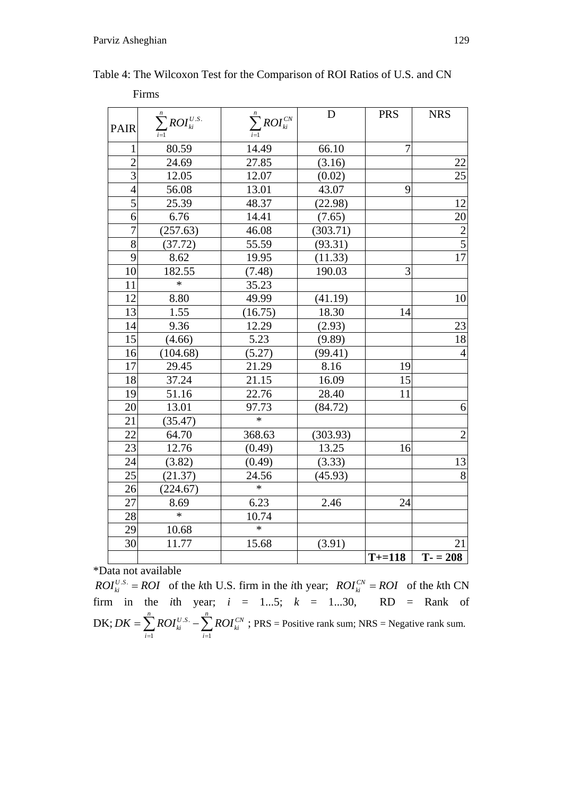| Firms          |                                |                              |             |                |                |
|----------------|--------------------------------|------------------------------|-------------|----------------|----------------|
| <b>PAIR</b>    | $\sum_{i=1}^n ROI_{ki}^{U.S.}$ | $\sum_{i=1}^n ROI_{ki}^{CN}$ | $\mathbf D$ | <b>PRS</b>     | <b>NRS</b>     |
| 1              | 80.59                          | 14.49                        | 66.10       | $\overline{7}$ |                |
| $\overline{2}$ | 24.69                          | 27.85                        | (3.16)      |                | $22\,$         |
| 3              | 12.05                          | 12.07                        | (0.02)      |                | 25             |
| $\overline{4}$ | 56.08                          | 13.01                        | 43.07       | 9              |                |
| $\overline{5}$ | 25.39                          | 48.37                        | (22.98)     |                | 12             |
| 6              | 6.76                           | 14.41                        | (7.65)      |                | 20             |
| $\overline{7}$ | (257.63)                       | 46.08                        | (303.71)    |                | $\frac{2}{5}$  |
| $\overline{8}$ | (37.72)                        | 55.59                        | (93.31)     |                |                |
| 9              | 8.62                           | 19.95                        | (11.33)     |                | $\frac{1}{7}$  |
| 10             | 182.55                         | (7.48)                       | 190.03      | 3              |                |
| 11             | $\ast$                         | 35.23                        |             |                |                |
| 12             | 8.80                           | 49.99                        | (41.19)     |                | 10             |
| 13             | 1.55                           | (16.75)                      | 18.30       | 14             |                |
| 14             | 9.36                           | 12.29                        | (2.93)      |                | 23             |
| 15             | (4.66)                         | 5.23                         | (9.89)      |                | 18             |
| 16             | (104.68)                       | (5.27)                       | (99.41)     |                | $\overline{4}$ |
| 17             | 29.45                          | 21.29                        | 8.16        | 19             |                |
| 18             | 37.24                          | 21.15                        | 16.09       | 15             |                |
| 19             | 51.16                          | 22.76                        | 28.40       | 11             |                |
| 20             | 13.01                          | 97.73                        | (84.72)     |                | 6              |
| 21             | (35.47)                        | $\ast$                       |             |                |                |
| 22             | 64.70                          | 368.63                       | (303.93)    |                | $\overline{2}$ |
| 23             | 12.76                          | (0.49)                       | 13.25       | 16             |                |
| 24             | (3.82)                         | (0.49)                       | (3.33)      |                | 13             |
| 25             | (21.37)                        | 24.56                        | (45.93)     |                | $\overline{8}$ |
| 26             | (224.67)                       | $\ast$                       |             |                |                |
| 27             | 8.69                           | 6.23                         | 2.46        | 24             |                |
| 28             | $\ast$                         | 10.74                        |             |                |                |
| 29             | 10.68                          | $\ast$                       |             |                |                |
| 30             | 11.77                          | 15.68                        | (3.91)      |                | 21             |
|                |                                |                              |             | $T+ = 118$     | $T - 208$      |

Table 4: The Wilcoxon Test for the Comparison of ROI Ratios of U.S. and CN

\*Data not available<br>  $ROI_{ki}^{U.S.} = ROI$  of the kth U.S. firm in the *i*th year;  $ROI_{ki}^{CN} = ROI$  of the *k*th CN<br>
firm in the *i*th year;  $i = 1...5$ ;  $k = 1...30$ , RD = Rank of DK;  $DK = \sum_{i=1}^{n} ROI_{ki}^{U.S.} - \sum_{i=1}^{n} ROI_{ki}^{CN}$ ; PRS = Positive rank sum; NRS = Negative rank sum.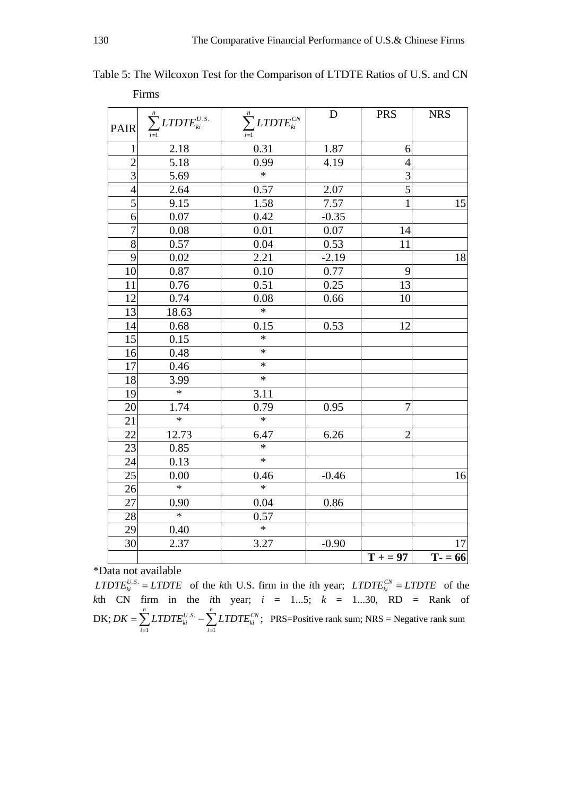| <b>PAIR</b>     | $\sum_{i=1}^n LTDTE_{ki}^{U.S.}$ | $\sum_{i=1}^n\textit{LTDTE}_{ki}^{CN}$ | D       | <b>PRS</b>      | <b>NRS</b> |
|-----------------|----------------------------------|----------------------------------------|---------|-----------------|------------|
| $\mathbf{1}$    | 2.18                             | 0.31                                   | 1.87    | 6               |            |
| $\overline{2}$  | 5.18                             | 0.99                                   | 4.19    | $\overline{4}$  |            |
| $\overline{3}$  | 5.69                             | $\overline{\ast}$                      |         | $\overline{3}$  |            |
| $\overline{4}$  | 2.64                             | 0.57                                   | 2.07    | $\overline{5}$  |            |
| $\overline{5}$  | 9.15                             | 1.58                                   | 7.57    | $\mathbf{1}$    | 15         |
| 6               | 0.07                             | 0.42                                   | $-0.35$ |                 |            |
| $\overline{7}$  | 0.08                             | 0.01                                   | 0.07    | 14              |            |
| $\overline{8}$  | 0.57                             | 0.04                                   | 0.53    | 11              |            |
| 9               | 0.02                             | 2.21                                   | $-2.19$ |                 | 18         |
| 10              | 0.87                             | 0.10                                   | 0.77    | 9               |            |
| 11              | 0.76                             | 0.51                                   | 0.25    | 13              |            |
| 12              | 0.74                             | 0.08                                   | 0.66    | $\overline{10}$ |            |
| $\overline{13}$ | 18.63                            | $\ast$                                 |         |                 |            |
| 14              | 0.68                             | 0.15                                   | 0.53    | 12              |            |
| 15              | 0.15                             | $\ast$                                 |         |                 |            |
| 16              | 0.48                             | $\ast$                                 |         |                 |            |
| 17              | 0.46                             | $\ast$                                 |         |                 |            |
| 18              | 3.99                             | $\ast$                                 |         |                 |            |
| 19              | $\ast$                           | 3.11                                   |         |                 |            |
| 20              | 1.74                             | 0.79                                   | 0.95    | $\overline{7}$  |            |
| 21              | $\ast$                           | $\ast$                                 |         |                 |            |
| 22              | 12.73                            | 6.47                                   | 6.26    | $\overline{2}$  |            |
| 23              | 0.85                             | $\ast$                                 |         |                 |            |
| 24              | 0.13                             | $\overline{\ast}$                      |         |                 |            |
| 25              | 0.00                             | 0.46                                   | $-0.46$ |                 | 16         |
| 26              | $\ast$                           | $\ast$                                 |         |                 |            |
| 27              | 0.90                             | 0.04                                   | 0.86    |                 |            |
| 28              | $\ast$                           | 0.57                                   |         |                 |            |
| 29              | 0.40                             | $\ast$                                 |         |                 |            |
| 30              | 2.37                             | 3.27                                   | $-0.90$ |                 | $17\,$     |
|                 |                                  |                                        |         | $T + 97$        | $T = 66$   |

Table 5: The Wilcoxon Test for the Comparison of LTDTE Ratios of U.S. and CN Firms

 $LTDTE_{ki}^{U.S.} = LTDTE$  of the *k*th U.S. firm in the *i*th year;  $LTDTE_{ki}^{CN} = LTDTE$  of the *k*th CN firm in the *i*th year; *i* = 1...5; *k* = 1...30, RD = Rank of  $DK; DK = \sum LTDTE_{ki}^{U.S.}$  $i=1$  $\sum_{i=1}^n \textit{LTDTE}_{ki}^{U.S.} - \sum_{i=1}^n \textit{LTDTE}_{ki}^{CN};$  $DK = \sum LTDTE_{ki}^{U.S.} - \sum LTDTE$  $=\sum_{i=1} LTDTE_{ki}^{U.S.} - \sum_{i=1} LTDTE_{ki}^{CN}$ ; PRS=Positive rank sum; NRS = Negative rank sum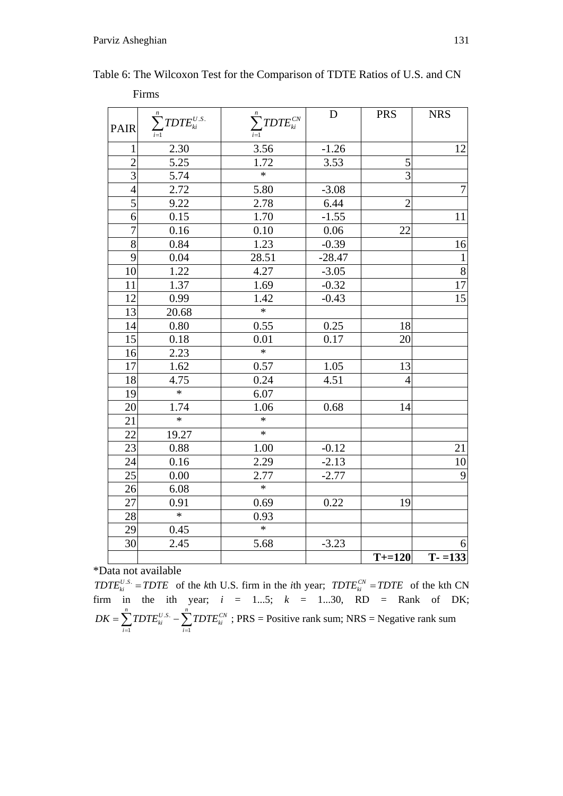| Firms           |                                    |                                  |          |                |                                            |
|-----------------|------------------------------------|----------------------------------|----------|----------------|--------------------------------------------|
| PAIR            | $\sum_{i=1}^n T D T E_{ki}^{U.S.}$ | $\sum_{i=1}^n T D T E_{ki}^{CN}$ | D        | <b>PRS</b>     | <b>NRS</b>                                 |
| $\mathbf{1}$    | 2.30                               | 3.56                             | $-1.26$  |                | 12                                         |
| $\overline{2}$  | 5.25                               | 1.72                             | 3.53     | 5              |                                            |
| 3               | 5.74                               | $\ast$                           |          | $\overline{3}$ |                                            |
| $\overline{4}$  | 2.72                               | 5.80                             | $-3.08$  |                | $\overline{7}$                             |
| $\overline{5}$  | 9.22                               | 2.78                             | 6.44     | $\overline{2}$ |                                            |
| $\overline{6}$  | 0.15                               | 1.70                             | $-1.55$  |                | 11                                         |
| $\overline{7}$  | 0.16                               | 0.10                             | 0.06     | 22             |                                            |
| $\overline{8}$  | 0.84                               | 1.23                             | $-0.39$  |                | 16                                         |
| 9               | 0.04                               | 28.51                            | $-28.47$ |                | $\mathbf{1}% _{T}\left( \mathbf{1}\right)$ |
| 10              | 1.22                               | 4.27                             | $-3.05$  |                | $\overline{8}$                             |
| 11              | 1.37                               | 1.69                             | $-0.32$  |                | $\overline{17}$                            |
| 12              | 0.99                               | 1.42                             | $-0.43$  |                | $\overline{15}$                            |
| 13              | 20.68                              | $\ast$                           |          |                |                                            |
| 14              | 0.80                               | 0.55                             | 0.25     | 18             |                                            |
| $\overline{15}$ | 0.18                               | 0.01                             | 0.17     | 20             |                                            |
| $\overline{16}$ | 2.23                               | $\ast$                           |          |                |                                            |
| 17              | 1.62                               | 0.57                             | 1.05     | 13             |                                            |
| 18              | 4.75                               | 0.24                             | 4.51     | $\overline{4}$ |                                            |
| 19              | $\ast$                             | 6.07                             |          |                |                                            |
| 20              | 1.74                               | 1.06                             | 0.68     | 14             |                                            |
| 21              | $\ast$                             | *                                |          |                |                                            |
| 22              | 19.27                              | $\ast$                           |          |                |                                            |
| 23              | 0.88                               | 1.00                             | $-0.12$  |                | 21                                         |
| 24              | 0.16                               | 2.29                             | $-2.13$  |                | $\overline{10}$                            |
| 25              | 0.00                               | 2.77                             | $-2.77$  |                | $\overline{9}$                             |
| 26              | 6.08                               | $\ast$                           |          |                |                                            |
| 27              | 0.91                               | 0.69                             | 0.22     | 19             |                                            |
| 28              | $\ast$                             | 0.93                             |          |                |                                            |
| 29              | 0.45                               | $\ast$                           |          |                |                                            |
| 30              | 2.45                               | 5.68                             | $-3.23$  |                | $6 \mid$                                   |
|                 |                                    |                                  |          | $T = 120$      | $T - 133$                                  |

Table 6: The Wilcoxon Test for the Comparison of TDTE Ratios of U.S. and CN

 $T D T E_{ki}^{U.S.} = T D T E$  of the *k*th U.S. firm in the *i*th year;  $T D T E_{ki}^{CV} = T D T E$  of the kth CN firm in the ith year;  $i = 1...5$ ;  $k = 1...30$ , RD = Rank of DK; .S.  $i=1$  $\sum_{i=1}^n \mathit{TDTE}_{ki}^{U.S.} - \sum_{i=1}^n \mathit{TDTE}_{ki}^{CN}$  $DK = \sum TDTE_{ki}^{U.S.} - \sum TDTE$  $=\sum_{i=1}^{T} T D T E_{ki}^{U.S.} - \sum_{i=1}^{T} T D T E_{ki}^{CN}$ ; PRS = Positive rank sum; NRS = Negative rank sum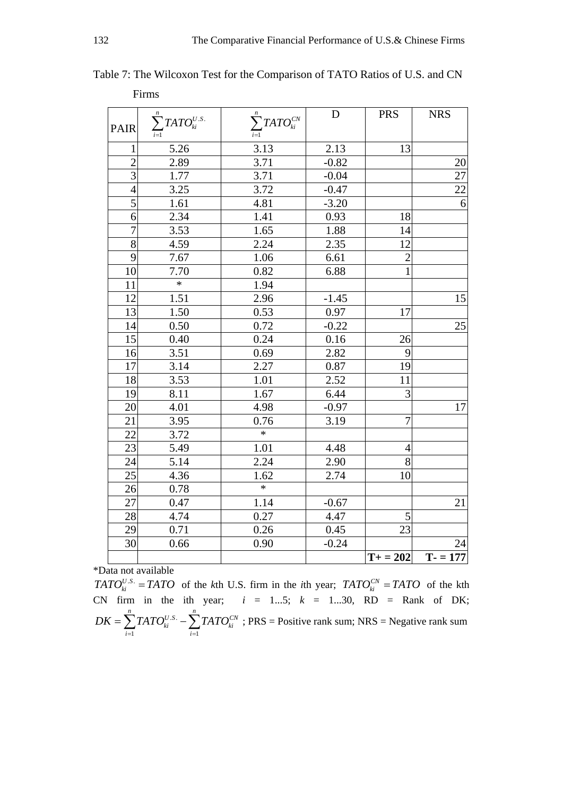|                | Firms                           |                               |             |                |                 |
|----------------|---------------------------------|-------------------------------|-------------|----------------|-----------------|
| PAIR           | $\sum_{i=1}^n TATO_{ki}^{U.S.}$ | $\sum_{i=1}^n TATO^{CN}_{ki}$ | $\mathbf D$ | <b>PRS</b>     | <b>NRS</b>      |
| 1              | 5.26                            | 3.13                          | 2.13        | 13             |                 |
| $\overline{2}$ | 2.89                            | 3.71                          | $-0.82$     |                | 20              |
| $\overline{3}$ | 1.77                            | 3.71                          | $-0.04$     |                | $\overline{27}$ |
| $\overline{4}$ | 3.25                            | 3.72                          | $-0.47$     |                | $\overline{22}$ |
| $\overline{5}$ | 1.61                            | 4.81                          | $-3.20$     |                | $\overline{6}$  |
| 6              | 2.34                            | 1.41                          | 0.93        | 18             |                 |
| $\overline{7}$ | 3.53                            | 1.65                          | 1.88        | 14             |                 |
| $\overline{8}$ | 4.59                            | 2.24                          | 2.35        | 12             |                 |
| 9              | 7.67                            | 1.06                          | 6.61        | $\overline{c}$ |                 |
| 10             | 7.70                            | 0.82                          | 6.88        | $\overline{1}$ |                 |
| 11             | $\ast$                          | 1.94                          |             |                |                 |
| 12             | 1.51                            | 2.96                          | $-1.45$     |                | 15              |
| 13             | 1.50                            | 0.53                          | 0.97        | 17             |                 |
| 14             | 0.50                            | 0.72                          | $-0.22$     |                | 25              |
| 15             | 0.40                            | 0.24                          | 0.16        | 26             |                 |
| 16             | 3.51                            | 0.69                          | 2.82        | 9              |                 |
| 17             | 3.14                            | 2.27                          | 0.87        | 19             |                 |
| 18             | 3.53                            | 1.01                          | 2.52        | 11             |                 |
| 19             | 8.11                            | 1.67                          | 6.44        | $\overline{3}$ |                 |
| 20             | 4.01                            | 4.98                          | $-0.97$     |                | 17              |
| 21             | 3.95                            | 0.76                          | 3.19        | $\overline{7}$ |                 |
| 22             | 3.72                            | $\ast$                        |             |                |                 |
| 23             | 5.49                            | 1.01                          | 4.48        | $\overline{4}$ |                 |
| 24             | 5.14                            | 2.24                          | 2.90        | 8              |                 |
| 25             | 4.36                            | 1.62                          | 2.74        | 10             |                 |
| 26             | 0.78                            | $\ast$                        |             |                |                 |
| 27             | 0.47                            | 1.14                          | $-0.67$     |                | 21              |
| 28             | 4.74                            | 0.27                          | 4.47        | 5              |                 |
| 29             | 0.71                            | 0.26                          | 0.45        | 23             |                 |
| 30             | 0.66                            | 0.90                          | $-0.24$     |                | 24              |
|                |                                 |                               |             | $T+ = 202$     | $T - 177$       |

Table 7: The Wilcoxon Test for the Comparison of TATO Ratios of U.S. and CN

*TATO*<sup>*U.S.*</sup> = *TATO* of the *k*th U.S. firm in the *i*th year;  $TATO_{ki}^{CN} = TATO$  of the kth CN firm in the ith year;  $i = 1...5$ ;  $k = 1...30$ , RD = Rank of DK; .S.  $i=1$  $\sum_{i=1}^{n} T_A T_C U.S. \sum_{i=1}^{n} T_A T_C C_N$  $\mathbf{k}$ *i*  $\sum$   $I$   $\mathbf{\Lambda}$   $\mathbf{\mathbf{\mathbf{U}}}_{ki}$ *i* =1 *i*  $DK = \sum TATO_{ki}^{U.S.} - \sum TATO$  $=\sum_{i=1} TATO_{ki}^{U.S.}-\sum_{i=1} TATO_{ki}^{CN}$ ; PRS = Positive rank sum; NRS = Negative rank sum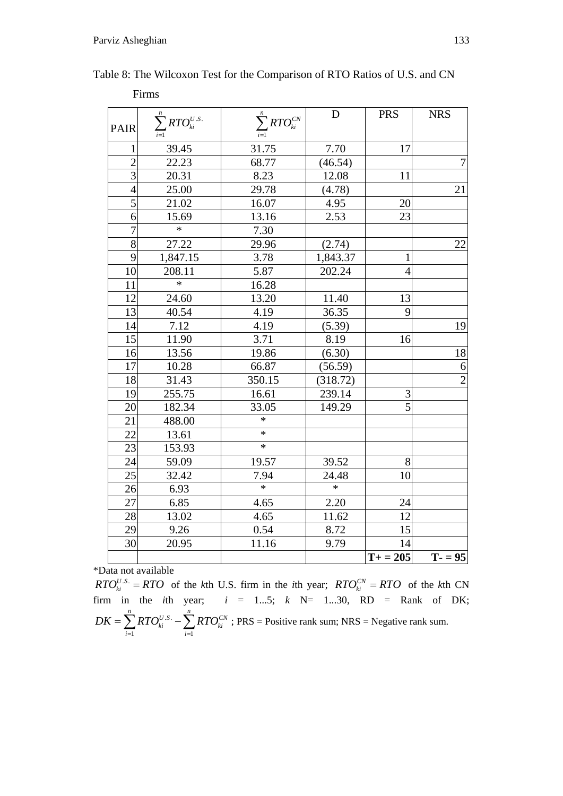|                | Firms                          |                                 |          |                       |                |
|----------------|--------------------------------|---------------------------------|----------|-----------------------|----------------|
| <b>PAIR</b>    | $\sum_{i=1}^n RTO_{ki}^{U.S.}$ | $\sum_{i=1}^n {R}T O_{ki}^{CN}$ | D        | <b>PRS</b>            | <b>NRS</b>     |
| 1              | 39.45                          | 31.75                           | 7.70     | 17                    |                |
| $\overline{2}$ | 22.23                          | 68.77                           | (46.54)  |                       | $\overline{7}$ |
| $\overline{3}$ | 20.31                          | 8.23                            | 12.08    | 11                    |                |
| $\overline{4}$ | 25.00                          | 29.78                           | (4.78)   |                       | 21             |
| $\overline{5}$ | 21.02                          | 16.07                           | 4.95     | 20                    |                |
| 6              | 15.69                          | 13.16                           | 2.53     | 23                    |                |
| $\overline{7}$ | $\ast$                         | 7.30                            |          |                       |                |
| $\overline{8}$ | 27.22                          | 29.96                           | (2.74)   |                       | 22             |
| 9              | 1,847.15                       | 3.78                            | 1,843.37 | $\mathbf{1}$          |                |
| 10             | 208.11                         | 5.87                            | 202.24   | $\overline{4}$        |                |
| 11             | $\ast$                         | 16.28                           |          |                       |                |
| 12             | 24.60                          | 13.20                           | 11.40    | 13                    |                |
| 13             | 40.54                          | 4.19                            | 36.35    | 9                     |                |
| 14             | 7.12                           | 4.19                            | (5.39)   |                       | 19             |
| 15             | 11.90                          | 3.71                            | 8.19     | 16                    |                |
| 16             | 13.56                          | 19.86                           | (6.30)   |                       | 18             |
| 17             | 10.28                          | 66.87                           | (56.59)  |                       | 6              |
| 18             | 31.43                          | 350.15                          | (318.72) |                       | $\overline{2}$ |
| 19             | 255.75                         | 16.61                           | 239.14   | 3                     |                |
| 20             | 182.34                         | 33.05                           | 149.29   | $\overline{5}$        |                |
| 21             | 488.00                         | $\ast$                          |          |                       |                |
| 22             | 13.61                          | $\ast$                          |          |                       |                |
| 23             | 153.93                         | $\ast$                          |          |                       |                |
| 24             | 59.09                          | 19.57                           | 39.52    | 8                     |                |
| 25             | 32.42                          | 7.94                            | 24.48    | 10                    |                |
| 26             | 6.93                           | $\ast$                          | $\ast$   |                       |                |
| 27             | 6.85                           | 4.65                            | 2.20     | 24                    |                |
| 28             | 13.02                          | 4.65                            | 11.62    | 12                    |                |
| 29             | 9.26                           | 0.54                            | 8.72     | 15                    |                |
| 30             | 20.95                          | 11.16                           | 9.79     | 14                    |                |
|                |                                |                                 |          | $\overline{T+} = 205$ | $T - 95$       |

Table 8: The Wilcoxon Test for the Comparison of RTO Ratios of U.S. and CN

 $RTO_{ki}^{U.S.} = RTO$  of the *k*th U.S. firm in the *i*th year;  $RTO_{ki}^{CN} = RTO$  of the *k*th CN firm in the *i*th year;  $i = 1...5$ ;  $k$  N= 1...30, RD = Rank of DK; .S.  $i=1$  $\sum_{n=1}^{n}$  *p TOUS*.  $\sum_{n=1}^{n}$  *p TO*<sup>*CN*</sup>  $\mathbf{k}$ *ki*  $\sum$  **AI**  $\mathbf{U}_{ki}$ *i* =1 *i*  $DK = \sum RTO_{ki}^{U.S} - \sum RTO$  $=\sum_{i=1} RTO_{ki}^{U.S.}-\sum_{i=1} RTO_{ki}^{CN}$ ; PRS = Positive rank sum; NRS = Negative rank sum.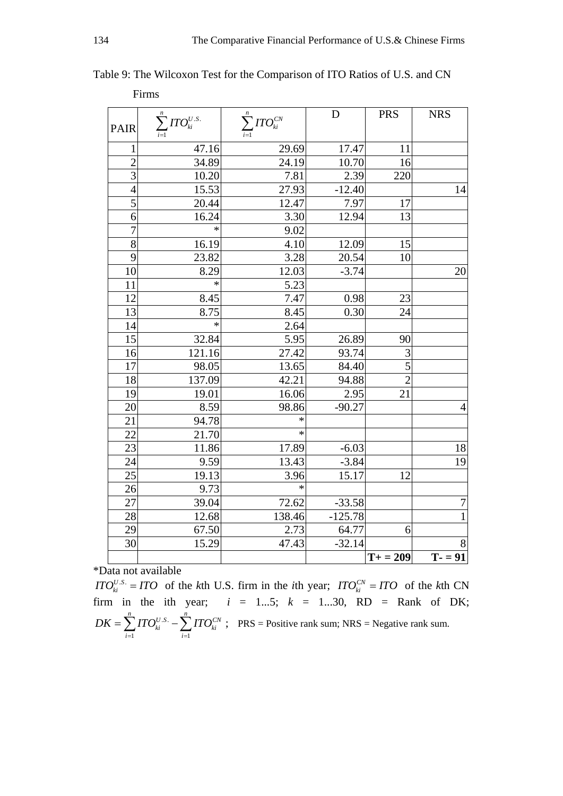|                 | Firms                                   |                                |           |                |                |
|-----------------|-----------------------------------------|--------------------------------|-----------|----------------|----------------|
| PAIR            | $\sum_{i=1}^n {\text{ITO}}_{ki}^{U.S.}$ | $\sum_{i=1}^{n} ITO_{ki}^{CN}$ | D         | <b>PRS</b>     | <b>NRS</b>     |
| 1               | 47.16                                   | 29.69                          | 17.47     | 11             |                |
| $\overline{2}$  | 34.89                                   | 24.19                          | 10.70     | 16             |                |
| $\overline{3}$  | 10.20                                   | 7.81                           | 2.39      | 220            |                |
| $\overline{4}$  | 15.53                                   | 27.93                          | $-12.40$  |                | 14             |
| 5               | 20.44                                   | 12.47                          | 7.97      | 17             |                |
| 6               | 16.24                                   | 3.30                           | 12.94     | 13             |                |
| $\overline{7}$  | $\ast$                                  | 9.02                           |           |                |                |
| $\overline{8}$  | 16.19                                   | 4.10                           | 12.09     | 15             |                |
| 9               | 23.82                                   | 3.28                           | 20.54     | 10             |                |
| 10              | 8.29                                    | 12.03                          | $-3.74$   |                | 20             |
| 11              | $\ast$                                  | 5.23                           |           |                |                |
| 12              | 8.45                                    | 7.47                           | 0.98      | 23             |                |
| 13              | 8.75                                    | 8.45                           | 0.30      | 24             |                |
| 14              | $\ast$                                  | 2.64                           |           |                |                |
| $\overline{15}$ | 32.84                                   | 5.95                           | 26.89     | 90             |                |
| 16              | 121.16                                  | 27.42                          | 93.74     | 3              |                |
| 17              | 98.05                                   | 13.65                          | 84.40     | $\overline{5}$ |                |
| 18              | 137.09                                  | 42.21                          | 94.88     | $\overline{2}$ |                |
| 19              | 19.01                                   | 16.06                          | 2.95      | 21             |                |
| 20              | 8.59                                    | 98.86                          | $-90.27$  |                | $\overline{4}$ |
| 21              | 94.78                                   | $\ast$                         |           |                |                |
| 22              | 21.70                                   | *                              |           |                |                |
| 23              | 11.86                                   | 17.89                          | $-6.03$   |                | 18             |
| 24              | 9.59                                    | 13.43                          | $-3.84$   |                | 19             |
| $2\overline{5}$ | 19.13                                   | 3.96                           | 15.17     | 12             |                |
| 26              | 9.73                                    | $\ast$                         |           |                |                |
| 27              | 39.04                                   | 72.62                          | $-33.58$  |                | $\overline{7}$ |
| 28              | 12.68                                   | 138.46                         | $-125.78$ |                | $\overline{1}$ |
| 29              | 67.50                                   | 2.73                           | 64.77     | 6              |                |
| 30              | 15.29                                   | 47.43                          | $-32.14$  |                | 8              |
|                 |                                         |                                |           | $T+ = 209$     | $T - = 91$     |

Table 9: The Wilcoxon Test for the Comparison of ITO Ratios of U.S. and CN

*ITO*<sup>*U.S.*</sup> = *ITO* of the *k*th U.S. firm in the *i*th year; *ITO*<sup>*CN*</sup><sub>*ki*</sub> = *ITO* of the *k*th CN firm in the ith year;  $i = 1...5$ ;  $k = 1...30$ , RD = Rank of DK; .S.  $i=1$  $\sum_{n=1}^n r \mathcal{L}^{U.S.}$   $\sum_{n=1}^n r \mathcal{L}^{C N}$  $_{ki}$   $\sim$   $\sqrt{11}$   $V_{ki}$ *i i*  $DK = \sum_{i} \text{ITO}_{ki}^{U.S.} - \sum_{i} \text{ITO}_{i}^{U.S.}$  $=\sum_{i=1} TTO_{ki}^{U.S.} - \sum_{i=1} TTO_{ki}^{CN}$ ; PRS = Positive rank sum; NRS = Negative rank sum.